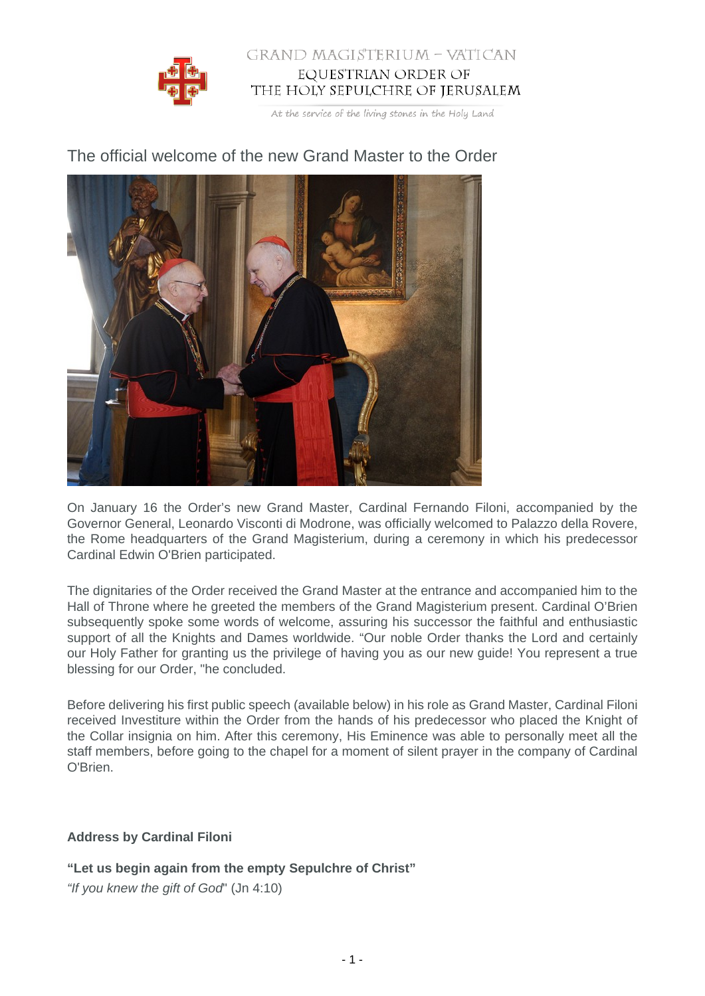

## GRAND MAGISTERIUM - VATICAN EQUESTRIAN ORDER OF THE HOLY SEPULCHRE OF JERUSALEM

At the service of the living stones in the Holy Land

The official welcome of the new Grand Master to the Order

On January 16 the Order's new Grand Master, Cardinal Fernando Filoni, accompanied by the Governor General, Leonardo Visconti di Modrone, was officially welcomed to Palazzo della Rovere, the Rome headquarters of the Grand Magisterium, during a ceremony in which his predecessor Cardinal Edwin O'Brien participated.

The dignitaries of the Order received the Grand Master at the entrance and accompanied him to the Hall of Throne where he greeted the members of the Grand Magisterium present. Cardinal O'Brien subsequently spoke some words of welcome, assuring his successor the faithful and enthusiastic support of all the Knights and Dames worldwide. "Our noble Order thanks the Lord and certainly our Holy Father for granting us the privilege of having you as our new guide! You represent a true blessing for our Order, "he concluded.

Before delivering his first public speech (available below) in his role as Grand Master, Cardinal Filoni received Investiture within the Order from the hands of his predecessor who placed the Knight of the Collar insignia on him. After this ceremony, His Eminence was able to personally meet all the staff members, before going to the chapel for a moment of silent prayer in the company of Cardinal O'Brien.

## **Address by Cardinal Filoni**

**"Let us begin again from the empty Sepulchre of Christ"**

"If you knew the gift of God" (Jn 4:10)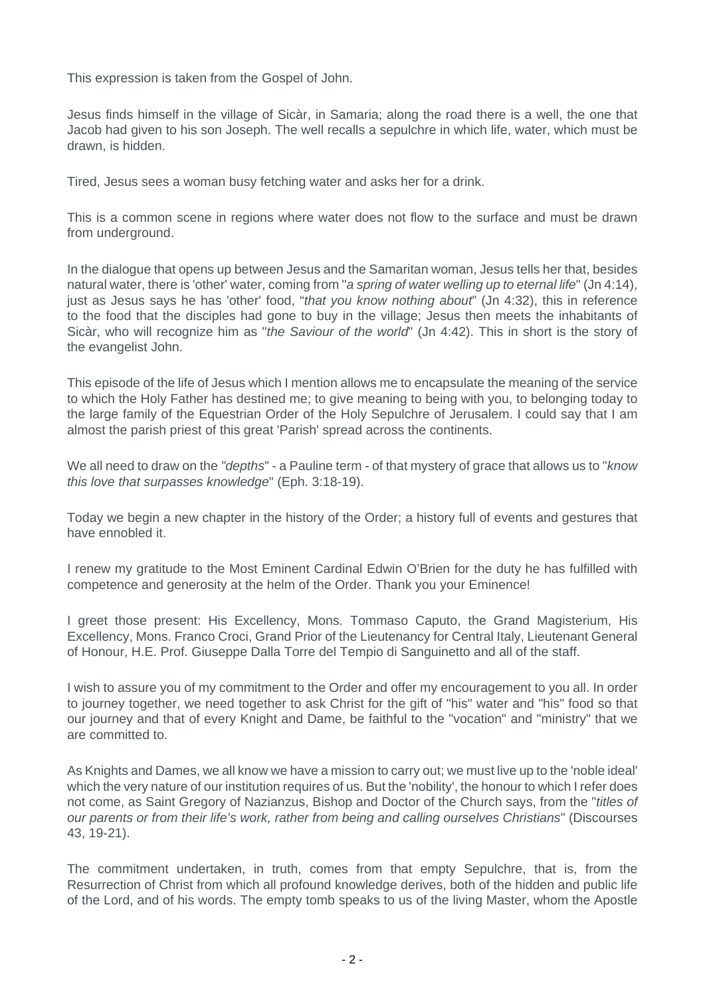This expression is taken from the Gospel of John.

Jesus finds himself in the village of Sicàr, in Samaria; along the road there is a well, the one that Jacob had given to his son Joseph. The well recalls a sepulchre in which life, water, which must be drawn, is hidden.

Tired, Jesus sees a woman busy fetching water and asks her for a drink.

This is a common scene in regions where water does not flow to the surface and must be drawn from underground.

In the dialogue that opens up between Jesus and the Samaritan woman, Jesus tells her that, besides natural water, there is 'other' water, coming from "a spring of water welling up to eternal life" (Jn 4:14), just as Jesus says he has 'other' food, "that you know nothing about" (Jn 4:32), this in reference to the food that the disciples had gone to buy in the village; Jesus then meets the inhabitants of Sicàr, who will recognize him as "the Saviour of the world" (Jn 4:42). This in short is the story of the evangelist John.

This episode of the life of Jesus which I mention allows me to encapsulate the meaning of the service to which the Holy Father has destined me; to give meaning to being with you, to belonging today to the large family of the Equestrian Order of the Holy Sepulchre of Jerusalem. I could say that I am almost the parish priest of this great 'Parish' spread across the continents.

We all need to draw on the "depths" - a Pauline term - of that mystery of grace that allows us to "know this love that surpasses knowledge" (Eph. 3:18-19).

Today we begin a new chapter in the history of the Order; a history full of events and gestures that have ennobled it.

I renew my gratitude to the Most Eminent Cardinal Edwin O'Brien for the duty he has fulfilled with competence and generosity at the helm of the Order. Thank you your Eminence!

I greet those present: His Excellency, Mons. Tommaso Caputo, the Grand Magisterium, His Excellency, Mons. Franco Croci, Grand Prior of the Lieutenancy for Central Italy, Lieutenant General of Honour, H.E. Prof. Giuseppe Dalla Torre del Tempio di Sanguinetto and all of the staff.

I wish to assure you of my commitment to the Order and offer my encouragement to you all. In order to journey together, we need together to ask Christ for the gift of "his" water and "his" food so that our journey and that of every Knight and Dame, be faithful to the "vocation" and "ministry" that we are committed to.

As Knights and Dames, we all know we have a mission to carry out; we must live up to the 'noble ideal' which the very nature of our institution requires of us. But the 'nobility', the honour to which I refer does not come, as Saint Gregory of Nazianzus, Bishop and Doctor of the Church says, from the "titles of our parents or from their life's work, rather from being and calling ourselves Christians" (Discourses 43, 19-21).

The commitment undertaken, in truth, comes from that empty Sepulchre, that is, from the Resurrection of Christ from which all profound knowledge derives, both of the hidden and public life of the Lord, and of his words. The empty tomb speaks to us of the living Master, whom the Apostle